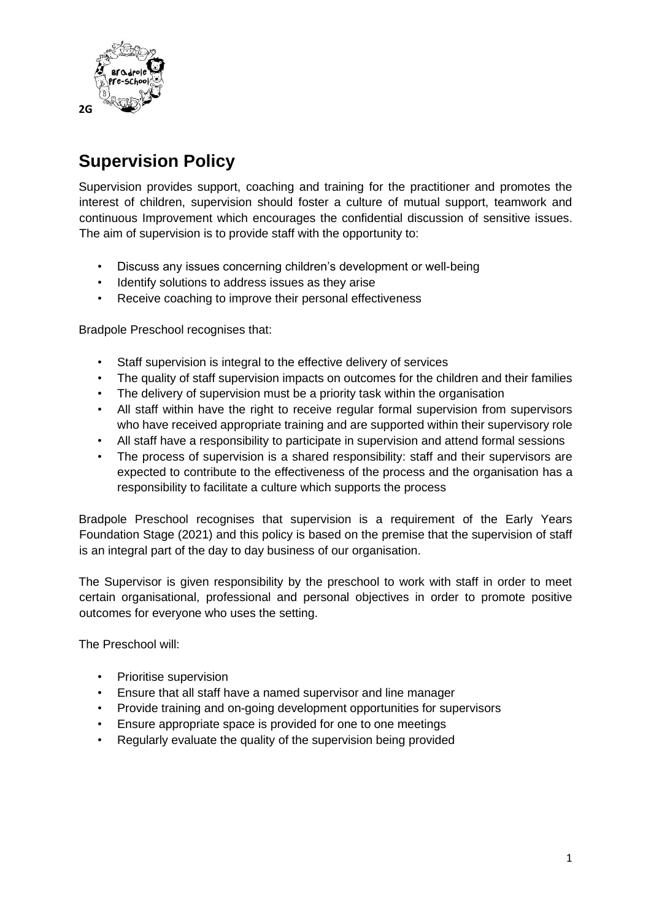

## **Supervision Policy**

Supervision provides support, coaching and training for the practitioner and promotes the interest of children, supervision should foster a culture of mutual support, teamwork and continuous Improvement which encourages the confidential discussion of sensitive issues. The aim of supervision is to provide staff with the opportunity to:

- Discuss any issues concerning children's development or well-being
- Identify solutions to address issues as they arise
- Receive coaching to improve their personal effectiveness

Bradpole Preschool recognises that:

- Staff supervision is integral to the effective delivery of services
- The quality of staff supervision impacts on outcomes for the children and their families
- The delivery of supervision must be a priority task within the organisation
- All staff within have the right to receive regular formal supervision from supervisors who have received appropriate training and are supported within their supervisory role
- All staff have a responsibility to participate in supervision and attend formal sessions
- The process of supervision is a shared responsibility: staff and their supervisors are expected to contribute to the effectiveness of the process and the organisation has a responsibility to facilitate a culture which supports the process

Bradpole Preschool recognises that supervision is a requirement of the Early Years Foundation Stage (2021) and this policy is based on the premise that the supervision of staff is an integral part of the day to day business of our organisation.

The Supervisor is given responsibility by the preschool to work with staff in order to meet certain organisational, professional and personal objectives in order to promote positive outcomes for everyone who uses the setting.

The Preschool will:

- Prioritise supervision
- Ensure that all staff have a named supervisor and line manager
- Provide training and on-going development opportunities for supervisors
- Ensure appropriate space is provided for one to one meetings
- Regularly evaluate the quality of the supervision being provided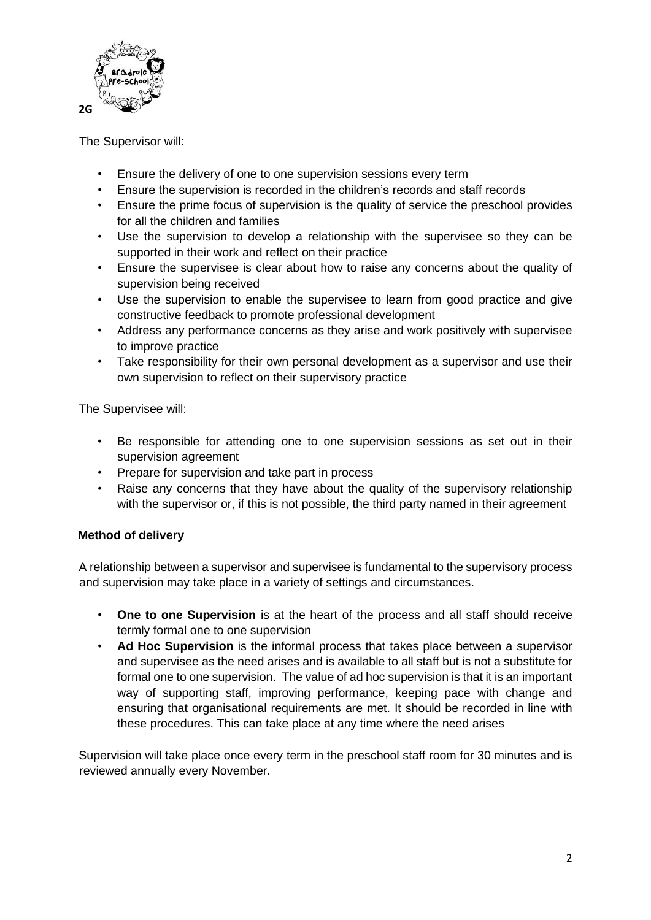

The Supervisor will:

- Ensure the delivery of one to one supervision sessions every term
- Ensure the supervision is recorded in the children's records and staff records
- Ensure the prime focus of supervision is the quality of service the preschool provides for all the children and families
- Use the supervision to develop a relationship with the supervisee so they can be supported in their work and reflect on their practice
- Ensure the supervisee is clear about how to raise any concerns about the quality of supervision being received
- Use the supervision to enable the supervisee to learn from good practice and give constructive feedback to promote professional development
- Address any performance concerns as they arise and work positively with supervisee to improve practice
- Take responsibility for their own personal development as a supervisor and use their own supervision to reflect on their supervisory practice

The Supervisee will:

- Be responsible for attending one to one supervision sessions as set out in their supervision agreement
- Prepare for supervision and take part in process
- Raise any concerns that they have about the quality of the supervisory relationship with the supervisor or, if this is not possible, the third party named in their agreement

## **Method of delivery**

A relationship between a supervisor and supervisee is fundamental to the supervisory process and supervision may take place in a variety of settings and circumstances.

- **One to one Supervision** is at the heart of the process and all staff should receive termly formal one to one supervision
- **Ad Hoc Supervision** is the informal process that takes place between a supervisor and supervisee as the need arises and is available to all staff but is not a substitute for formal one to one supervision. The value of ad hoc supervision is that it is an important way of supporting staff, improving performance, keeping pace with change and ensuring that organisational requirements are met. It should be recorded in line with these procedures. This can take place at any time where the need arises

Supervision will take place once every term in the preschool staff room for 30 minutes and is reviewed annually every November.